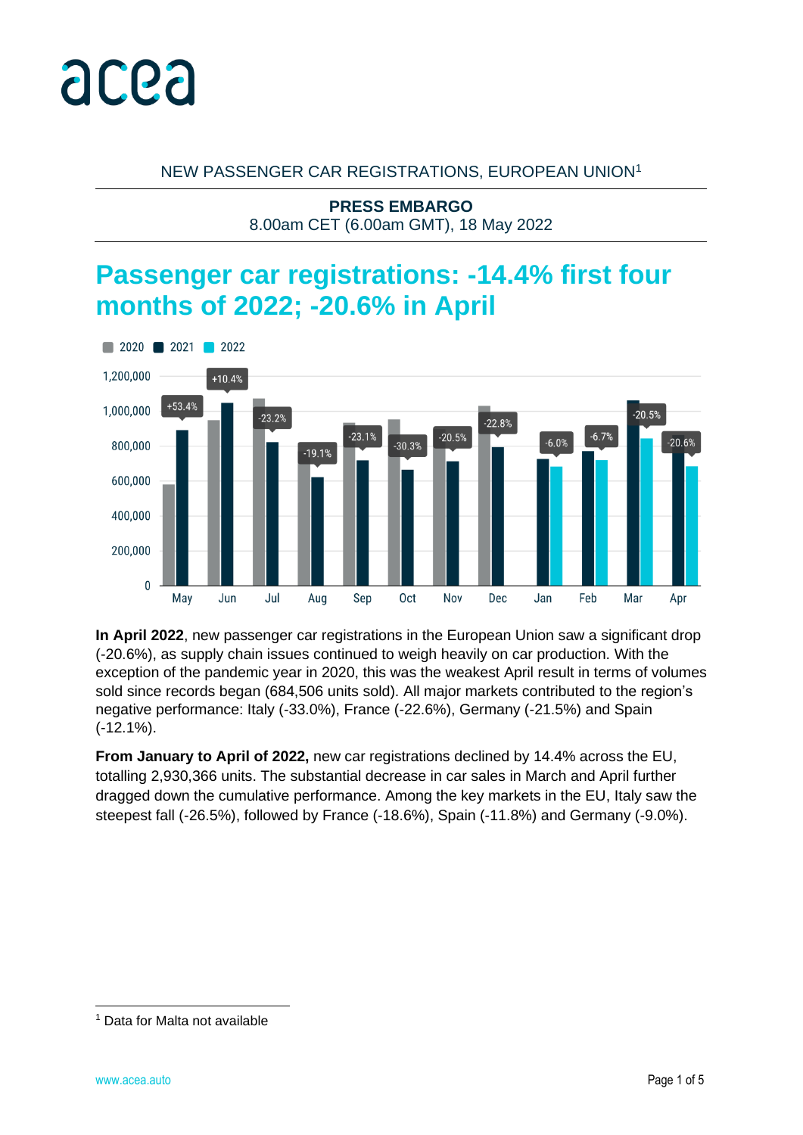

## NEW PASSENGER CAR REGISTRATIONS, EUROPEAN UNION<sup>1</sup>

**PRESS EMBARGO** 8.00am CET (6.00am GMT), 18 May 2022

# **Passenger car registrations: -14.4% first four months of 2022; -20.6% in April**



**In April 2022**, new passenger car registrations in the European Union saw a significant drop (-20.6%), as supply chain issues continued to weigh heavily on car production. With the exception of the pandemic year in 2020, this was the weakest April result in terms of volumes sold since records began (684,506 units sold). All major markets contributed to the region's negative performance: Italy (-33.0%), France (-22.6%), Germany (-21.5%) and Spain (-12.1%).

**From January to April of 2022,** new car registrations declined by 14.4% across the EU, totalling 2,930,366 units. The substantial decrease in car sales in March and April further dragged down the cumulative performance. Among the key markets in the EU, Italy saw the steepest fall (-26.5%), followed by France (-18.6%), Spain (-11.8%) and Germany (-9.0%).

<sup>1</sup> Data for Malta not available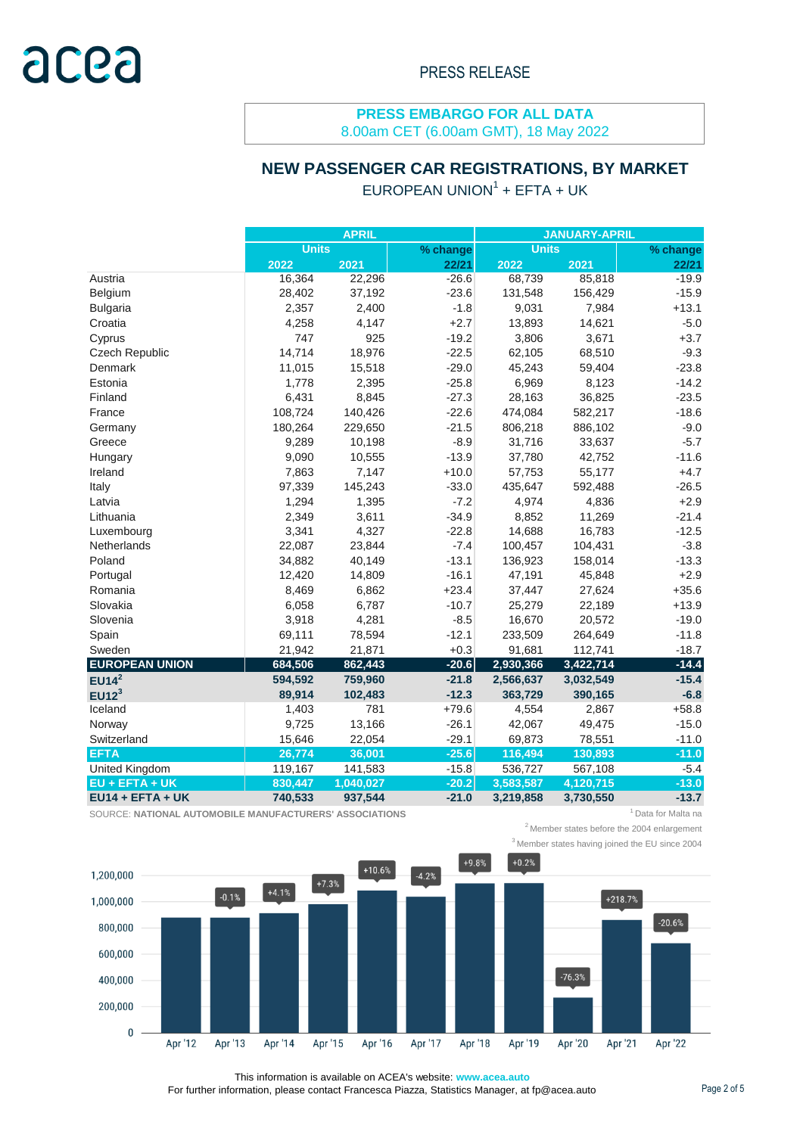# **NEW PASSENGER CAR REGISTRATIONS, BY MARKET**

|                       |              | <b>APRIL</b> |          | <b>JANUARY-APRIL</b> |           |          |  |  |
|-----------------------|--------------|--------------|----------|----------------------|-----------|----------|--|--|
|                       | <b>Units</b> |              | % change | <b>Units</b>         |           | % change |  |  |
|                       | 2022         | 2021         | 22/21    | 2022                 | 2021      | 22/21    |  |  |
| Austria               | 16,364       | 22,296       | $-26.6$  | 68,739               | 85,818    | $-19.9$  |  |  |
| Belgium               | 28,402       | 37,192       | $-23.6$  | 131,548              | 156,429   | $-15.9$  |  |  |
| <b>Bulgaria</b>       | 2,357        | 2,400        | $-1.8$   | 9,031                | 7,984     | $+13.1$  |  |  |
| Croatia               | 4,258        | 4,147        | $+2.7$   | 13,893               | 14,621    | $-5.0$   |  |  |
| Cyprus                | 747          | 925          | $-19.2$  | 3,806                | 3,671     | $+3.7$   |  |  |
| Czech Republic        | 14,714       | 18,976       | $-22.5$  | 62,105               | 68,510    | $-9.3$   |  |  |
| Denmark               | 11,015       | 15,518       | $-29.0$  | 45,243               | 59,404    | $-23.8$  |  |  |
| Estonia               | 1,778        | 2,395        | $-25.8$  | 6,969                | 8,123     | $-14.2$  |  |  |
| Finland               | 6,431        | 8,845        | $-27.3$  | 28,163               | 36,825    | $-23.5$  |  |  |
| France                | 108,724      | 140,426      | $-22.6$  | 474,084              | 582,217   | $-18.6$  |  |  |
| Germany               | 180,264      | 229,650      | $-21.5$  | 806,218              | 886,102   | $-9.0$   |  |  |
| Greece                | 9,289        | 10,198       | $-8.9$   | 31,716               | 33,637    | $-5.7$   |  |  |
| Hungary               | 9,090        | 10,555       | $-13.9$  | 37,780               | 42,752    | $-11.6$  |  |  |
| Ireland               | 7,863        | 7,147        | $+10.0$  | 57,753               | 55,177    | $+4.7$   |  |  |
| Italy                 | 97,339       | 145,243      | $-33.0$  | 435,647              | 592,488   | $-26.5$  |  |  |
| Latvia                | 1,294        | 1,395        | $-7.2$   | 4,974                | 4,836     | $+2.9$   |  |  |
| Lithuania             | 2,349        | 3,611        | $-34.9$  | 8,852                | 11,269    | $-21.4$  |  |  |
| Luxembourg            | 3,341        | 4,327        | $-22.8$  | 14,688               | 16,783    | $-12.5$  |  |  |
| Netherlands           | 22,087       | 23,844       | $-7.4$   | 100,457              | 104,431   | $-3.8$   |  |  |
| Poland                | 34,882       | 40,149       | $-13.1$  | 136,923              | 158,014   | $-13.3$  |  |  |
| Portugal              | 12,420       | 14,809       | $-16.1$  | 47,191               | 45,848    | $+2.9$   |  |  |
| Romania               | 8,469        | 6,862        | $+23.4$  | 37,447               | 27,624    | $+35.6$  |  |  |
| Slovakia              | 6,058        | 6,787        | $-10.7$  | 25,279               | 22,189    | $+13.9$  |  |  |
| Slovenia              | 3,918        | 4,281        | $-8.5$   | 16,670               | 20,572    | $-19.0$  |  |  |
| Spain                 | 69,111       | 78,594       | $-12.1$  | 233,509              | 264,649   | $-11.8$  |  |  |
| Sweden                | 21,942       | 21,871       | $+0.3$   | 91,681               | 112,741   | $-18.7$  |  |  |
| <b>EUROPEAN UNION</b> | 684,506      | 862,443      | $-20.6$  | 2,930,366            | 3,422,714 | $-14.4$  |  |  |
| EUI4 <sup>2</sup>     | 594,592      | 759,960      | $-21.8$  | 2,566,637            | 3,032,549 | $-15.4$  |  |  |
| EUI2 <sup>3</sup>     | 89,914       | 102,483      | $-12.3$  | 363,729              | 390,165   | $-6.8$   |  |  |
| Iceland               | 1,403        | 781          | $+79.6$  | 4,554                | 2,867     | $+58.8$  |  |  |
| Norway                | 9,725        | 13,166       | $-26.1$  | 42,067               | 49,475    | $-15.0$  |  |  |
| Switzerland           | 15,646       | 22,054       | $-29.1$  | 69,873               | 78,551    | $-11.0$  |  |  |
| <b>EFTA</b>           | 26,774       | 36,001       | $-25.6$  | 116,494              | 130,893   | $-11.0$  |  |  |
| United Kingdom        | 119,167      | 141,583      | $-15.8$  | 536,727              | 567,108   | $-5.4$   |  |  |
| $EU + EFTA + UK$      | 830,447      | 1,040,027    | $-20.2$  | 3,583,587            | 4,120,715 | $-13.0$  |  |  |
| $EU14 + EFTA + UK$    | 740,533      | 937,544      | $-21.0$  | 3,219,858            | 3,730,550 | $-13.7$  |  |  |

SOURCE: NATIONAL AUTOMOBILE MANUFACTURERS' ASSOCIATIONS **1 1 AU ACCESS 10 AU ACCESS 10** Automobile 1 Data for Malta na

 $2$ Member states before the 2004 enlargement

<sup>3</sup> Member states having joined the EU since 2004



This information is available on ACEA's website: **www.acea.auto** 

For further information, please contact Francesca Piazza, Statistics Manager, at fp@acea.auto Page 2 of 5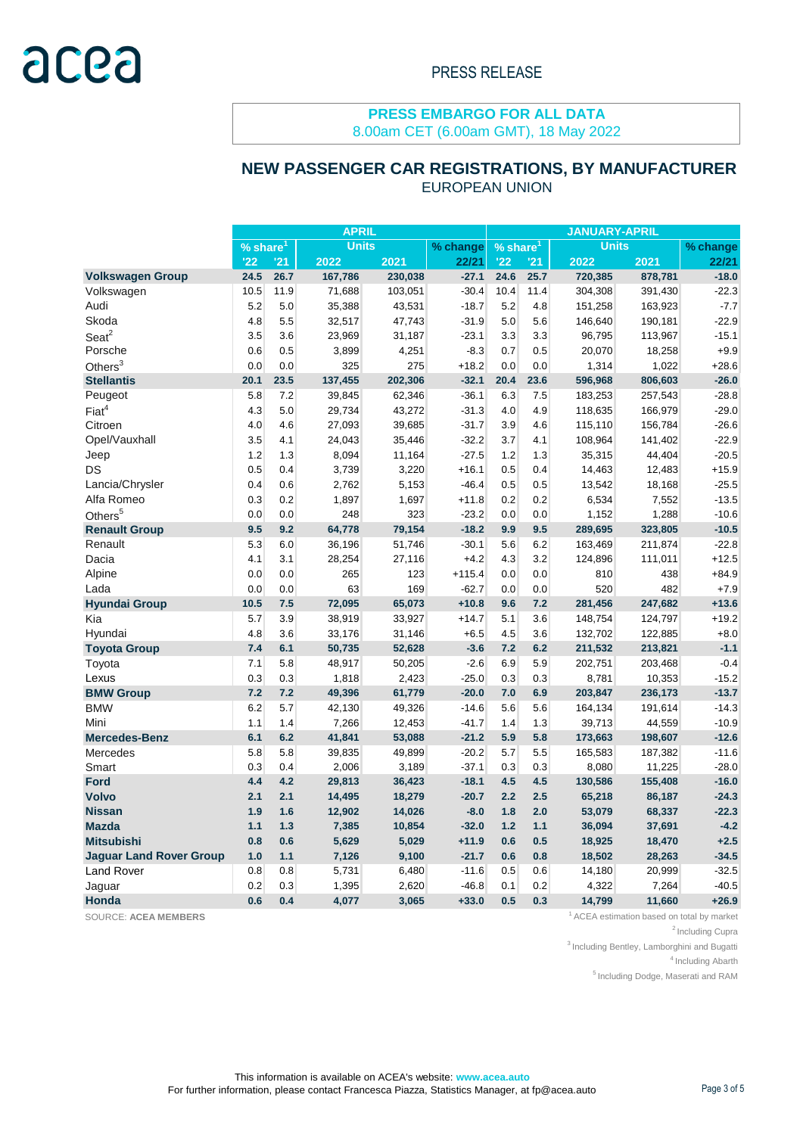#### EUROPEAN UNION  **NEW PASSENGER CAR REGISTRATIONS, BY MANUFACTURER**

|                                | <b>APRIL</b> |      |              |         | <b>JANUARY-APRIL</b> |                        |      |              |         |          |
|--------------------------------|--------------|------|--------------|---------|----------------------|------------------------|------|--------------|---------|----------|
|                                | % share      |      | <b>Units</b> |         | % change             | $%$ share <sup>1</sup> |      | <b>Units</b> |         | % change |
|                                | '22          | '21  | 2022         | 2021    | 22/21                | '22                    | '21  | 2022         | 2021    | 22/21    |
| <b>Volkswagen Group</b>        | 24.5         | 26.7 | 167,786      | 230,038 | $-27.1$              | 24.6                   | 25.7 | 720,385      | 878,781 | $-18.0$  |
| Volkswagen                     | 10.5         | 11.9 | 71,688       | 103,051 | $-30.4$              | 10.4                   | 11.4 | 304,308      | 391,430 | $-22.3$  |
| Audi                           | 5.2          | 5.0  | 35,388       | 43,531  | $-18.7$              | 5.2                    | 4.8  | 151,258      | 163,923 | $-7.7$   |
| Skoda                          | 4.8          | 5.5  | 32,517       | 47,743  | $-31.9$              | 5.0                    | 5.6  | 146,640      | 190,181 | $-22.9$  |
| Seat <sup>2</sup>              | 3.5          | 3.6  | 23,969       | 31,187  | $-23.1$              | 3.3                    | 3.3  | 96,795       | 113,967 | $-15.1$  |
| Porsche                        | 0.6          | 0.5  | 3,899        | 4,251   | $-8.3$               | 0.7                    | 0.5  | 20,070       | 18,258  | $+9.9$   |
| Others $3$                     | 0.0          | 0.0  | 325          | 275     | $+18.2$              | 0.0                    | 0.0  | 1,314        | 1,022   | $+28.6$  |
| <b>Stellantis</b>              | 20.1         | 23.5 | 137,455      | 202,306 | $-32.1$              | 20.4                   | 23.6 | 596,968      | 806,603 | $-26.0$  |
| Peugeot                        | 5.8          | 7.2  | 39,845       | 62,346  | $-36.1$              | 6.3                    | 7.5  | 183,253      | 257,543 | $-28.8$  |
| Fiat <sup>4</sup>              | 4.3          | 5.0  | 29,734       | 43,272  | $-31.3$              | 4.0                    | 4.9  | 118,635      | 166,979 | $-29.0$  |
| Citroen                        | 4.0          | 4.6  | 27,093       | 39,685  | $-31.7$              | 3.9                    | 4.6  | 115,110      | 156,784 | $-26.6$  |
| Opel/Vauxhall                  | 3.5          | 4.1  | 24,043       | 35,446  | $-32.2$              | 3.7                    | 4.1  | 108,964      | 141,402 | $-22.9$  |
| Jeep                           | 1.2          | 1.3  | 8,094        | 11,164  | $-27.5$              | 1.2                    | 1.3  | 35,315       | 44,404  | $-20.5$  |
| DS                             | 0.5          | 0.4  | 3,739        | 3,220   | $+16.1$              | 0.5                    | 0.4  | 14,463       | 12,483  | $+15.9$  |
| Lancia/Chrysler                | 0.4          | 0.6  | 2,762        | 5,153   | $-46.4$              | 0.5                    | 0.5  | 13,542       | 18,168  | $-25.5$  |
| Alfa Romeo                     | 0.3          | 0.2  | 1,897        | 1,697   | $+11.8$              | 0.2                    | 0.2  | 6,534        | 7,552   | $-13.5$  |
| Others <sup>5</sup>            | 0.0          | 0.0  | 248          | 323     | $-23.2$              | 0.0                    | 0.0  | 1,152        | 1,288   | $-10.6$  |
| <b>Renault Group</b>           | 9.5          | 9.2  | 64,778       | 79,154  | $-18.2$              | 9.9                    | 9.5  | 289,695      | 323,805 | $-10.5$  |
| Renault                        | 5.3          | 6.0  | 36,196       | 51,746  | $-30.1$              | 5.6                    | 6.2  | 163,469      | 211,874 | $-22.8$  |
| Dacia                          | 4.1          | 3.1  | 28,254       | 27,116  | $+4.2$               | 4.3                    | 3.2  | 124,896      | 111,011 | $+12.5$  |
| Alpine                         | 0.0          | 0.0  | 265          | 123     | $+115.4$             | 0.0                    | 0.0  | 810          | 438     | $+84.9$  |
| Lada                           | 0.0          | 0.0  | 63           | 169     | $-62.7$              | 0.0                    | 0.0  | 520          | 482     | $+7.9$   |
| <b>Hyundai Group</b>           | 10.5         | 7.5  | 72,095       | 65,073  | $+10.8$              | 9.6                    | 7.2  | 281,456      | 247,682 | $+13.6$  |
| Kia                            | 5.7          | 3.9  | 38,919       | 33,927  | $+14.7$              | 5.1                    | 3.6  | 148,754      | 124,797 | $+19.2$  |
| Hyundai                        | 4.8          | 3.6  | 33,176       | 31,146  | $+6.5$               | 4.5                    | 3.6  | 132,702      | 122,885 | $+8.0$   |
| <b>Toyota Group</b>            | 7.4          | 6.1  | 50,735       | 52,628  | $-3.6$               | 7.2                    | 6.2  | 211,532      | 213,821 | $-1.1$   |
| Toyota                         | 7.1          | 5.8  | 48,917       | 50,205  | $-2.6$               | 6.9                    | 5.9  | 202,751      | 203,468 | $-0.4$   |
| Lexus                          | 0.3          | 0.3  | 1,818        | 2,423   | $-25.0$              | 0.3                    | 0.3  | 8,781        | 10,353  | $-15.2$  |
| <b>BMW Group</b>               | 7.2          | 7.2  | 49,396       | 61,779  | $-20.0$              | 7.0                    | 6.9  | 203,847      | 236,173 | $-13.7$  |
| <b>BMW</b>                     | 6.2          | 5.7  | 42,130       | 49,326  | $-14.6$              | 5.6                    | 5.6  | 164,134      | 191,614 | $-14.3$  |
| Mini                           | 1.1          | 1.4  | 7,266        | 12,453  | $-41.7$              | 1.4                    | 1.3  | 39,713       | 44,559  | $-10.9$  |
| <b>Mercedes-Benz</b>           | 6.1          | 6.2  | 41,841       | 53,088  | $-21.2$              | 5.9                    | 5.8  | 173,663      | 198,607 | $-12.6$  |
| Mercedes                       | 5.8          | 5.8  | 39,835       | 49,899  | $-20.2$              | 5.7                    | 5.5  | 165,583      | 187,382 | $-11.6$  |
| Smart                          | 0.3          | 0.4  | 2,006        | 3,189   | $-37.1$              | 0.3                    | 0.3  | 8,080        | 11,225  | $-28.0$  |
| Ford                           | 4.4          | 4.2  | 29,813       | 36,423  | $-18.1$              | 4.5                    | 4.5  | 130,586      | 155,408 | $-16.0$  |
| <b>Volvo</b>                   | 2.1          | 2.1  | 14,495       | 18,279  | $-20.7$              | 2.2                    | 2.5  | 65,218       | 86,187  | $-24.3$  |
| <b>Nissan</b>                  | 1.9          | 1.6  | 12,902       | 14,026  | $-8.0$               | 1.8                    | 2.0  | 53,079       | 68,337  | $-22.3$  |
| <b>Mazda</b>                   | 1.1          | 1.3  | 7,385        | 10,854  | $-32.0$              | 1.2                    | 1.1  | 36,094       | 37,691  | $-4.2$   |
| <b>Mitsubishi</b>              | 0.8          | 0.6  | 5,629        | 5,029   | $+11.9$              | 0.6                    | 0.5  | 18,925       | 18,470  | $+2.5$   |
| <b>Jaguar Land Rover Group</b> | 1.0          | 1.1  | 7,126        | 9,100   | $-21.7$              | 0.6                    | 0.8  | 18,502       | 28,263  | $-34.5$  |
| <b>Land Rover</b>              | 0.8          | 0.8  | 5,731        | 6,480   | $-11.6$              | 0.5                    | 0.6  | 14,180       | 20,999  | $-32.5$  |
| Jaguar                         | 0.2          | 0.3  | 1,395        | 2,620   | $-46.8$              | 0.1                    | 0.2  | 4,322        | 7,264   | $-40.5$  |
| Honda                          | 0.6          | 0.4  | 4,077        | 3,065   | $+33.0$              | 0.5                    | 0.3  | 14,799       | 11,660  | $+26.9$  |

SOURCE: ACEA MEMBERS **1** ACEA estimation based on total by market

<sup>2</sup> Including Cupra

<sup>3</sup> Including Bentley, Lamborghini and Bugatti

<sup>4</sup> Including Abarth

<sup>5</sup> Including Dodge, Maserati and RAM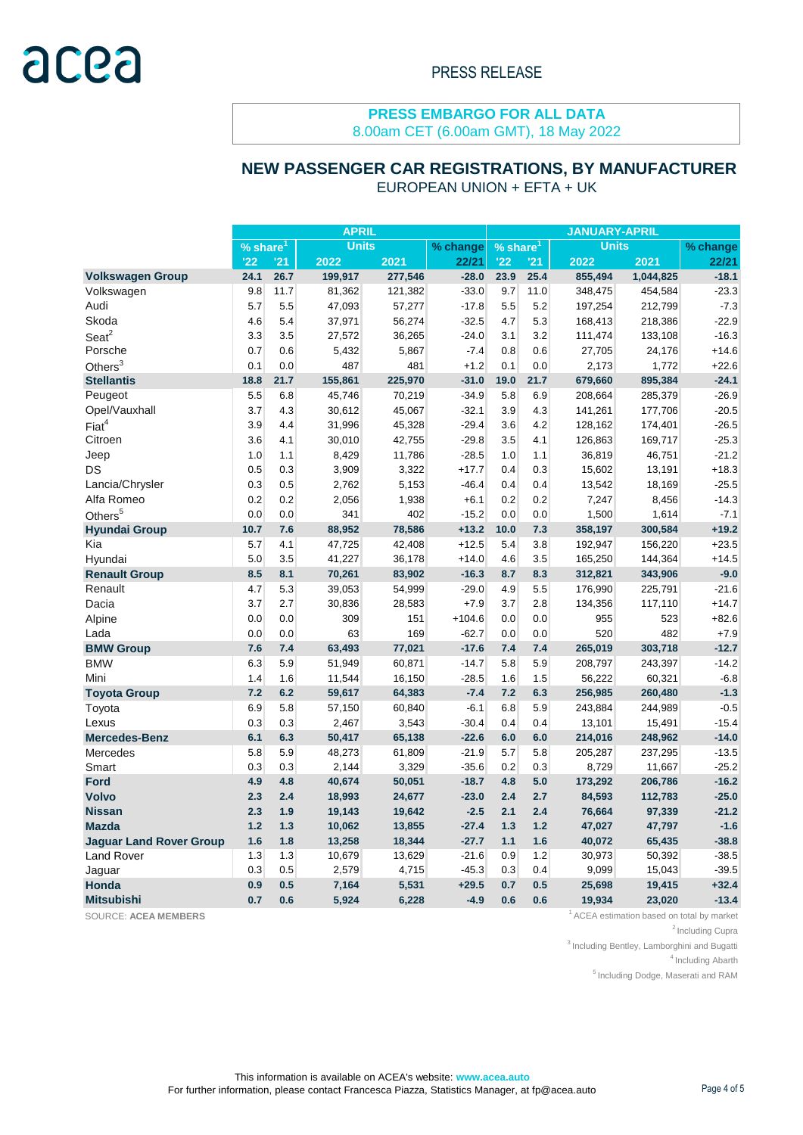#### **NEW PASSENGER CAR REGISTRATIONS, BY MANUFACTURER** EUROPEAN UNION + EFTA + UK

|                                | <b>APRIL</b>           |      |              |         | <b>JANUARY-APRIL</b> |                        |      |              |           |          |
|--------------------------------|------------------------|------|--------------|---------|----------------------|------------------------|------|--------------|-----------|----------|
|                                | $%$ share <sup>1</sup> |      | <b>Units</b> |         | % change             | $%$ share <sup>1</sup> |      | <b>Units</b> |           | % change |
|                                | $^{122}$               | '21  | 2022         | 2021    | 22/21                | '22                    | '21  | 2022         | 2021      | 22/21    |
| <b>Volkswagen Group</b>        | 24.1                   | 26.7 | 199,917      | 277,546 | $-28.0$              | 23.9                   | 25.4 | 855,494      | 1,044,825 | $-18.1$  |
| Volkswagen                     | 9.8                    | 11.7 | 81,362       | 121,382 | $-33.0$              | 9.7                    | 11.0 | 348,475      | 454,584   | $-23.3$  |
| Audi                           | 5.7                    | 5.5  | 47,093       | 57,277  | $-17.8$              | 5.5                    | 5.2  | 197,254      | 212,799   | $-7.3$   |
| Skoda                          | 4.6                    | 5.4  | 37,971       | 56,274  | $-32.5$              | 4.7                    | 5.3  | 168,413      | 218,386   | $-22.9$  |
| $S$ eat $^2$                   | 3.3                    | 3.5  | 27,572       | 36,265  | $-24.0$              | 3.1                    | 3.2  | 111,474      | 133,108   | $-16.3$  |
| Porsche                        | 0.7                    | 0.6  | 5,432        | 5,867   | $-7.4$               | 0.8                    | 0.6  | 27,705       | 24,176    | $+14.6$  |
| Others $3$                     | 0.1                    | 0.0  | 487          | 481     | $+1.2$               | 0.1                    | 0.0  | 2,173        | 1,772     | $+22.6$  |
| <b>Stellantis</b>              | 18.8                   | 21.7 | 155,861      | 225,970 | $-31.0$              | 19.0                   | 21.7 | 679,660      | 895,384   | $-24.1$  |
| Peugeot                        | 5.5                    | 6.8  | 45,746       | 70,219  | $-34.9$              | 5.8                    | 6.9  | 208,664      | 285,379   | $-26.9$  |
| Opel/Vauxhall                  | 3.7                    | 4.3  | 30,612       | 45,067  | $-32.1$              | 3.9                    | 4.3  | 141,261      | 177,706   | $-20.5$  |
| Fiat <sup>4</sup>              | 3.9                    | 4.4  | 31,996       | 45,328  | $-29.4$              | 3.6                    | 4.2  | 128,162      | 174,401   | $-26.5$  |
| Citroen                        | 3.6                    | 4.1  | 30,010       | 42,755  | $-29.8$              | 3.5                    | 4.1  | 126,863      | 169,717   | $-25.3$  |
| Jeep                           | 1.0                    | 1.1  | 8,429        | 11,786  | $-28.5$              | 1.0                    | 1.1  | 36,819       | 46,751    | $-21.2$  |
| DS                             | 0.5                    | 0.3  | 3,909        | 3,322   | $+17.7$              | 0.4                    | 0.3  | 15,602       | 13,191    | $+18.3$  |
| Lancia/Chrysler                | 0.3                    | 0.5  | 2,762        | 5,153   | $-46.4$              | 0.4                    | 0.4  | 13,542       | 18,169    | $-25.5$  |
| Alfa Romeo                     | 0.2                    | 0.2  | 2,056        | 1,938   | $+6.1$               | 0.2                    | 0.2  | 7,247        | 8,456     | $-14.3$  |
| Others <sup>5</sup>            | 0.0                    | 0.0  | 341          | 402     | $-15.2$              | 0.0                    | 0.0  | 1,500        | 1,614     | $-7.1$   |
| <b>Hyundai Group</b>           | 10.7                   | 7.6  | 88,952       | 78,586  | $+13.2$              | 10.0                   | 7.3  | 358,197      | 300,584   | $+19.2$  |
| Kia                            | 5.7                    | 4.1  | 47,725       | 42,408  | $+12.5$              | 5.4                    | 3.8  | 192,947      | 156,220   | $+23.5$  |
| Hyundai                        | 5.0                    | 3.5  | 41,227       | 36,178  | $+14.0$              | 4.6                    | 3.5  | 165,250      | 144,364   | $+14.5$  |
| <b>Renault Group</b>           | 8.5                    | 8.1  | 70,261       | 83,902  | $-16.3$              | 8.7                    | 8.3  | 312,821      | 343,906   | $-9.0$   |
| Renault                        | 4.7                    | 5.3  | 39,053       | 54,999  | $-29.0$              | 4.9                    | 5.5  | 176,990      | 225,791   | $-21.6$  |
| Dacia                          | 3.7                    | 2.7  | 30,836       | 28,583  | $+7.9$               | 3.7                    | 2.8  | 134,356      | 117,110   | $+14.7$  |
| Alpine                         | 0.0                    | 0.0  | 309          | 151     | $+104.6$             | 0.0                    | 0.0  | 955          | 523       | $+82.6$  |
| Lada                           | 0.0                    | 0.0  | 63           | 169     | $-62.7$              | 0.0                    | 0.0  | 520          | 482       | $+7.9$   |
| <b>BMW Group</b>               | 7.6                    | 7.4  | 63,493       | 77,021  | $-17.6$              | 7.4                    | 7.4  | 265,019      | 303,718   | $-12.7$  |
| <b>BMW</b>                     | 6.3                    | 5.9  | 51,949       | 60,871  | $-14.7$              | 5.8                    | 5.9  | 208,797      | 243,397   | $-14.2$  |
| Mini                           | 1.4                    | 1.6  | 11,544       | 16,150  | $-28.5$              | 1.6                    | 1.5  | 56,222       | 60,321    | $-6.8$   |
| <b>Toyota Group</b>            | 7.2                    | 6.2  | 59,617       | 64,383  | $-7.4$               | 7.2                    | 6.3  | 256,985      | 260,480   | $-1.3$   |
| Toyota                         | 6.9                    | 5.8  | 57,150       | 60,840  | $-6.1$               | 6.8                    | 5.9  | 243,884      | 244,989   | $-0.5$   |
| Lexus                          | 0.3                    | 0.3  | 2,467        | 3,543   | $-30.4$              | 0.4                    | 0.4  | 13,101       | 15,491    | $-15.4$  |
| <b>Mercedes-Benz</b>           | 6.1                    | 6.3  | 50,417       | 65,138  | $-22.6$              | 6.0                    | 6.0  | 214,016      | 248,962   | $-14.0$  |
| Mercedes                       | 5.8                    | 5.9  | 48,273       | 61,809  | $-21.9$              | 5.7                    | 5.8  | 205,287      | 237,295   | $-13.5$  |
| Smart                          | 0.3                    | 0.3  | 2,144        | 3,329   | $-35.6$              | 0.2                    | 0.3  | 8,729        | 11,667    | $-25.2$  |
| <b>Ford</b>                    | 4.9                    | 4.8  | 40,674       | 50,051  | $-18.7$              | 4.8                    | 5.0  | 173,292      | 206,786   | $-16.2$  |
| <b>Volvo</b>                   | 2.3                    | 2.4  | 18,993       | 24,677  | $-23.0$              | 2.4                    | 2.7  | 84,593       | 112,783   | $-25.0$  |
| <b>Nissan</b>                  | 2.3                    | 1.9  | 19,143       | 19,642  | $-2.5$               | 2.1                    | 2.4  | 76,664       | 97,339    | $-21.2$  |
| <b>Mazda</b>                   | 1.2                    | 1.3  | 10,062       | 13,855  | $-27.4$              | 1.3                    | 1.2  | 47,027       | 47,797    | $-1.6$   |
| <b>Jaguar Land Rover Group</b> | 1.6                    | 1.8  | 13,258       | 18,344  | $-27.7$              | 1.1                    | 1.6  | 40,072       | 65,435    | $-38.8$  |
| Land Rover                     | 1.3                    | 1.3  | 10,679       | 13,629  | $-21.6$              | 0.9                    | 1.2  | 30,973       | 50,392    | $-38.5$  |
| Jaguar                         | 0.3                    | 0.5  | 2,579        | 4,715   | $-45.3$              | 0.3                    | 0.4  | 9,099        | 15,043    | $-39.5$  |
| Honda                          | 0.9                    | 0.5  | 7,164        | 5,531   | $+29.5$              | 0.7                    | 0.5  | 25,698       | 19,415    | $+32.4$  |
| <b>Mitsubishi</b>              | 0.7                    | 0.6  | 5,924        | 6,228   | $-4.9$               | 0.6                    | 0.6  | 19,934       | 23,020    | $-13.4$  |

SOURCE: ACEA MEMBERS **1** ACEA estimation based on total by market

<sup>2</sup> Including Cupra

<sup>3</sup> Including Bentley, Lamborghini and Bugatti

<sup>4</sup> Including Abarth

<sup>5</sup> Including Dodge, Maserati and RAM